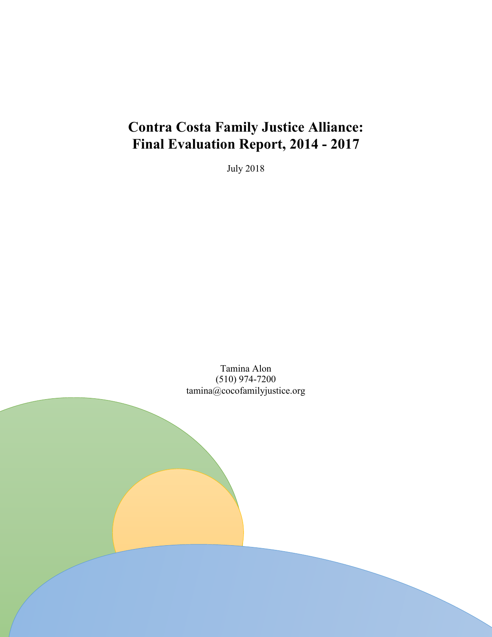# **Contra Costa Family Justice Alliance: Final Evaluation Report, 2014 - 2017**

July 2018

Tamina Alon (510) 974-7200 tamina@cocofamilyjustice.org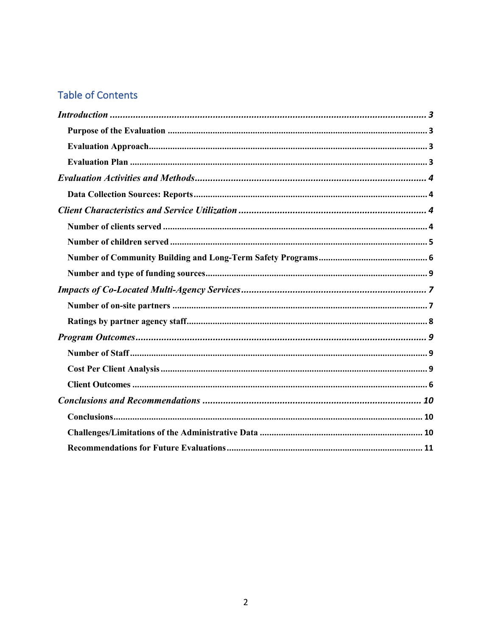# **Table of Contents**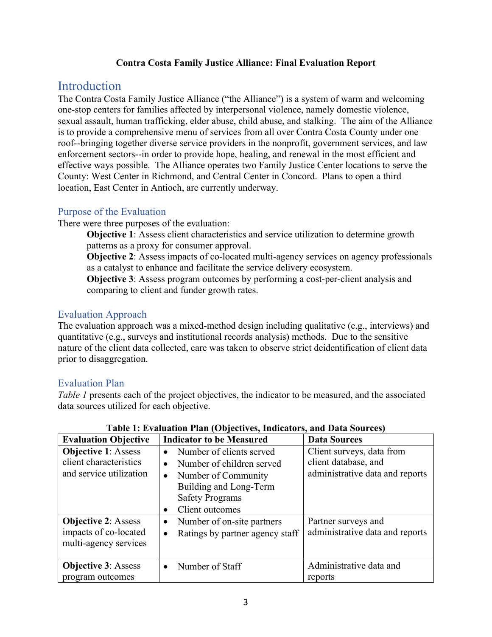#### **Contra Costa Family Justice Alliance: Final Evaluation Report**

### **Introduction**

The Contra Costa Family Justice Alliance ("the Alliance") is a system of warm and welcoming one-stop centers for families affected by interpersonal violence, namely domestic violence, sexual assault, human trafficking, elder abuse, child abuse, and stalking. The aim of the Alliance is to provide a comprehensive menu of services from all over Contra Costa County under one roof--bringing together diverse service providers in the nonprofit, government services, and law enforcement sectors--in order to provide hope, healing, and renewal in the most efficient and effective ways possible. The Alliance operates two Family Justice Center locations to serve the County: West Center in Richmond, and Central Center in Concord. Plans to open a third location, East Center in Antioch, are currently underway.

### Purpose of the Evaluation

There were three purposes of the evaluation:

**Objective 1**: Assess client characteristics and service utilization to determine growth patterns as a proxy for consumer approval.

**Objective 2**: Assess impacts of co-located multi-agency services on agency professionals as a catalyst to enhance and facilitate the service delivery ecosystem.

**Objective 3**: Assess program outcomes by performing a cost-per-client analysis and comparing to client and funder growth rates.

### Evaluation Approach

The evaluation approach was a mixed-method design including qualitative (e.g., interviews) and quantitative (e.g., surveys and institutional records analysis) methods. Due to the sensitive nature of the client data collected, care was taken to observe strict deidentification of client data prior to disaggregation.

### Evaluation Plan

*Table 1* presents each of the project objectives, the indicator to be measured, and the associated data sources utilized for each objective.

| <b>Evaluation Objective</b>                                                     | <b>Indicator to be Measured</b>                                                                                                                                                                         | <b>Data Sources</b>                                                                  |
|---------------------------------------------------------------------------------|---------------------------------------------------------------------------------------------------------------------------------------------------------------------------------------------------------|--------------------------------------------------------------------------------------|
| <b>Objective 1: Assess</b><br>client characteristics<br>and service utilization | Number of clients served<br>$\bullet$<br>Number of children served<br>$\bullet$<br>Number of Community<br>$\bullet$<br>Building and Long-Term<br><b>Safety Programs</b><br>Client outcomes<br>$\bullet$ | Client surveys, data from<br>client database, and<br>administrative data and reports |
| <b>Objective 2: Assess</b><br>impacts of co-located<br>multi-agency services    | Number of on-site partners<br>$\bullet$<br>Ratings by partner agency staff<br>$\bullet$                                                                                                                 | Partner surveys and<br>administrative data and reports                               |
| <b>Objective 3: Assess</b><br>program outcomes                                  | Number of Staff<br>$\bullet$                                                                                                                                                                            | Administrative data and<br>reports                                                   |

### **Table 1: Evaluation Plan (Objectives, Indicators, and Data Sources)**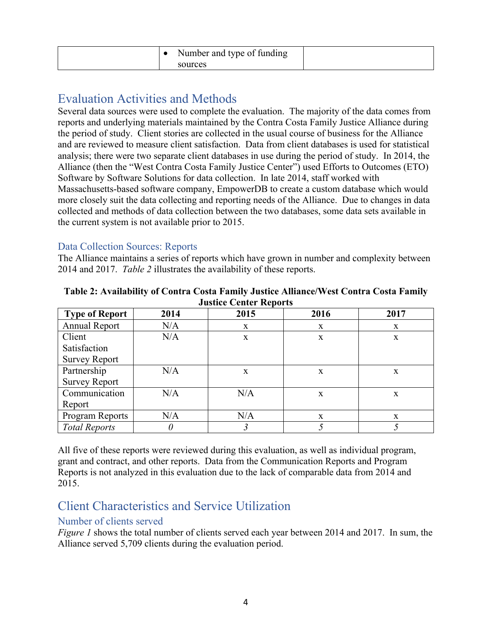|  | Number and type of funding |  |
|--|----------------------------|--|
|  | sources                    |  |

# Evaluation Activities and Methods

Several data sources were used to complete the evaluation. The majority of the data comes from reports and underlying materials maintained by the Contra Costa Family Justice Alliance during the period of study. Client stories are collected in the usual course of business for the Alliance and are reviewed to measure client satisfaction. Data from client databases is used for statistical analysis; there were two separate client databases in use during the period of study. In 2014, the Alliance (then the "West Contra Costa Family Justice Center") used Efforts to Outcomes (ETO) Software by Software Solutions for data collection. In late 2014, staff worked with Massachusetts-based software company, EmpowerDB to create a custom database which would more closely suit the data collecting and reporting needs of the Alliance. Due to changes in data collected and methods of data collection between the two databases, some data sets available in the current system is not available prior to 2015.

### Data Collection Sources: Reports

The Alliance maintains a series of reports which have grown in number and complexity between 2014 and 2017. *Table 2* illustrates the availability of these reports.

| <b>Type of Report</b> | 2014 | 2015 | 2016 | 2017 |
|-----------------------|------|------|------|------|
| Annual Report         | N/A  | X    | X    | X    |
| Client                | N/A  | X    | X    | X    |
| Satisfaction          |      |      |      |      |
| <b>Survey Report</b>  |      |      |      |      |
| Partnership           | N/A  | X    | X    | X    |
| <b>Survey Report</b>  |      |      |      |      |
| Communication         | N/A  | N/A  | X    | X    |
| Report                |      |      |      |      |
| Program Reports       | N/A  | N/A  | X    | X    |
| <b>Total Reports</b>  | 0    |      |      |      |

| Table 2: Availability of Contra Costa Family Justice Alliance/West Contra Costa Family |
|----------------------------------------------------------------------------------------|
| <b>Justice Center Reports</b>                                                          |

All five of these reports were reviewed during this evaluation, as well as individual program, grant and contract, and other reports. Data from the Communication Reports and Program Reports is not analyzed in this evaluation due to the lack of comparable data from 2014 and 2015.

### Client Characteristics and Service Utilization

### Number of clients served

*Figure 1* shows the total number of clients served each year between 2014 and 2017. In sum, the Alliance served 5,709 clients during the evaluation period.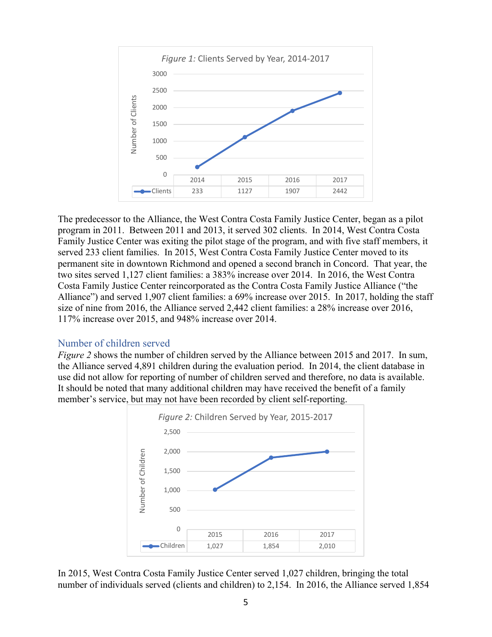

The predecessor to the Alliance, the West Contra Costa Family Justice Center, began as a pilot program in 2011. Between 2011 and 2013, it served 302 clients. In 2014, West Contra Costa Family Justice Center was exiting the pilot stage of the program, and with five staff members, it served 233 client families. In 2015, West Contra Costa Family Justice Center moved to its permanent site in downtown Richmond and opened a second branch in Concord. That year, the two sites served 1,127 client families: a 383% increase over 2014. In 2016, the West Contra Costa Family Justice Center reincorporated as the Contra Costa Family Justice Alliance ("the Alliance") and served 1,907 client families: a 69% increase over 2015. In 2017, holding the staff size of nine from 2016, the Alliance served 2,442 client families: a 28% increase over 2016, 117% increase over 2015, and 948% increase over 2014.

### Number of children served

*Figure 2* shows the number of children served by the Alliance between 2015 and 2017. In sum, the Alliance served 4,891 children during the evaluation period. In 2014, the client database in use did not allow for reporting of number of children served and therefore, no data is available. It should be noted that many additional children may have received the benefit of a family member's service, but may not have been recorded by client self-reporting.



In 2015, West Contra Costa Family Justice Center served 1,027 children, bringing the total number of individuals served (clients and children) to 2,154. In 2016, the Alliance served 1,854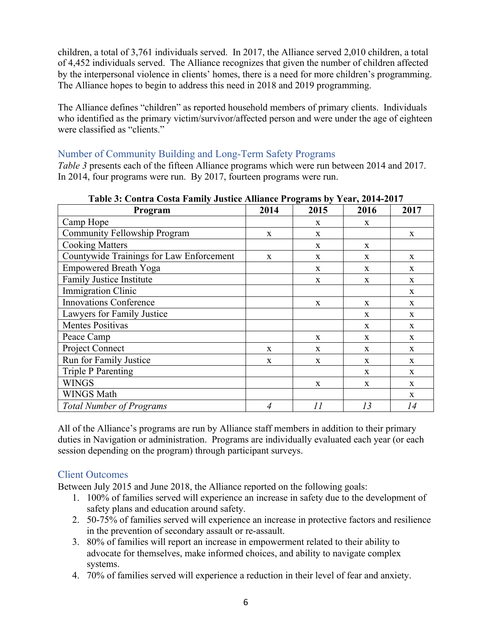children, a total of 3,761 individuals served. In 2017, the Alliance served 2,010 children, a total of 4,452 individuals served. The Alliance recognizes that given the number of children affected by the interpersonal violence in clients' homes, there is a need for more children's programming. The Alliance hopes to begin to address this need in 2018 and 2019 programming.

The Alliance defines "children" as reported household members of primary clients. Individuals who identified as the primary victim/survivor/affected person and were under the age of eighteen were classified as "clients."

### Number of Community Building and Long-Term Safety Programs

*Table 3* presents each of the fifteen Alliance programs which were run between 2014 and 2017. In 2014, four programs were run. By 2017, fourteen programs were run.

| Program                                  | 2014 | 2015         | 2016         | 2017         |
|------------------------------------------|------|--------------|--------------|--------------|
| Camp Hope                                |      | X            | X            |              |
| <b>Community Fellowship Program</b>      | X    | $\mathbf X$  |              | $\mathbf X$  |
| <b>Cooking Matters</b>                   |      | X            | $\mathbf X$  |              |
| Countywide Trainings for Law Enforcement | X    | X            | X            | X            |
| <b>Empowered Breath Yoga</b>             |      | $\mathbf X$  | X            | X            |
| Family Justice Institute                 |      | $\mathbf X$  | X            | X            |
| <b>Immigration Clinic</b>                |      |              |              | X            |
| <b>Innovations Conference</b>            |      | X            | $\mathbf{x}$ | X            |
| Lawyers for Family Justice               |      |              | X            | X            |
| <b>Mentes Positivas</b>                  |      |              | $\mathbf{x}$ | X            |
| Peace Camp                               |      | $\mathbf{x}$ | $\mathbf{x}$ | $\mathbf{x}$ |
| Project Connect                          | X    | X            | $\mathbf{x}$ | X            |
| Run for Family Justice                   | X    | $\mathbf X$  | X            | X            |
| <b>Triple P Parenting</b>                |      |              | $\mathbf{x}$ | $\mathbf{x}$ |
| <b>WINGS</b>                             |      | X            | X            | $\mathbf{x}$ |
| <b>WINGS Math</b>                        |      |              |              | $\mathbf{x}$ |
| <b>Total Number of Programs</b>          | 4    | 11           | 13           | 14           |

**Table 3: Contra Costa Family Justice Alliance Programs by Year, 2014-2017**

All of the Alliance's programs are run by Alliance staff members in addition to their primary duties in Navigation or administration. Programs are individually evaluated each year (or each session depending on the program) through participant surveys.

### Client Outcomes

Between July 2015 and June 2018, the Alliance reported on the following goals:

- 1. 100% of families served will experience an increase in safety due to the development of safety plans and education around safety.
- 2. 50-75% of families served will experience an increase in protective factors and resilience in the prevention of secondary assault or re-assault.
- 3. 80% of families will report an increase in empowerment related to their ability to advocate for themselves, make informed choices, and ability to navigate complex systems.
- 4. 70% of families served will experience a reduction in their level of fear and anxiety.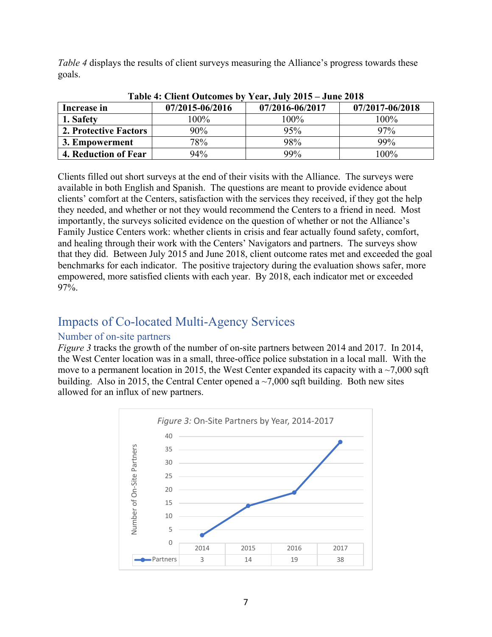*Table 4* displays the results of client surveys measuring the Alliance's progress towards these goals.

| Table 4: Chent Outcomes by Year, July 2015 – June 2018 |                 |                 |                 |  |  |  |
|--------------------------------------------------------|-----------------|-----------------|-----------------|--|--|--|
| Increase in                                            | 07/2015-06/2016 | 07/2016-06/2017 | 07/2017-06/2018 |  |  |  |
| 1. Safety                                              | 100%            | 100%            | 100%            |  |  |  |
| 2. Protective Factors                                  | 90%             | 95%             | 97%             |  |  |  |
| 3. Empowerment                                         | 78%             | 98%             | 99%             |  |  |  |
| 4. Reduction of Fear                                   | 94%             | 99%             | $100\%$         |  |  |  |

**Table 4: Client Outcomes by Year, July 2015 – June 2018**

Clients filled out short surveys at the end of their visits with the Alliance. The surveys were available in both English and Spanish. The questions are meant to provide evidence about clients' comfort at the Centers, satisfaction with the services they received, if they got the help they needed, and whether or not they would recommend the Centers to a friend in need. Most importantly, the surveys solicited evidence on the question of whether or not the Alliance's Family Justice Centers work: whether clients in crisis and fear actually found safety, comfort, and healing through their work with the Centers' Navigators and partners. The surveys show that they did. Between July 2015 and June 2018, client outcome rates met and exceeded the goal benchmarks for each indicator. The positive trajectory during the evaluation shows safer, more empowered, more satisfied clients with each year. By 2018, each indicator met or exceeded 97%.

### Impacts of Co-located Multi-Agency Services

### Number of on-site partners

*Figure 3* tracks the growth of the number of on-site partners between 2014 and 2017. In 2014, the West Center location was in a small, three-office police substation in a local mall. With the move to a permanent location in 2015, the West Center expanded its capacity with a  $\sim$ 7,000 sqft building. Also in 2015, the Central Center opened a  $\sim$  7,000 sqft building. Both new sites allowed for an influx of new partners.

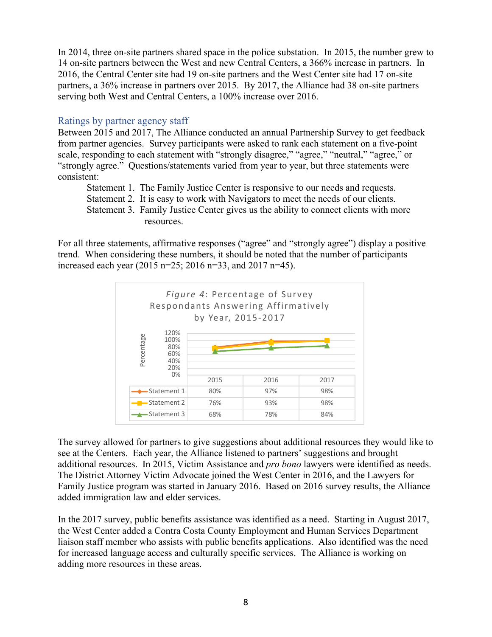In 2014, three on-site partners shared space in the police substation. In 2015, the number grew to 14 on-site partners between the West and new Central Centers, a 366% increase in partners. In 2016, the Central Center site had 19 on-site partners and the West Center site had 17 on-site partners, a 36% increase in partners over 2015. By 2017, the Alliance had 38 on-site partners serving both West and Central Centers, a 100% increase over 2016.

### Ratings by partner agency staff

Between 2015 and 2017, The Alliance conducted an annual Partnership Survey to get feedback from partner agencies. Survey participants were asked to rank each statement on a five-point scale, responding to each statement with "strongly disagree," "agree," "neutral," "agree," or "strongly agree." Questions/statements varied from year to year, but three statements were consistent:

Statement 1. The Family Justice Center is responsive to our needs and requests.

Statement 2. It is easy to work with Navigators to meet the needs of our clients.

Statement 3. Family Justice Center gives us the ability to connect clients with more resources.

For all three statements, affirmative responses ("agree" and "strongly agree") display a positive trend. When considering these numbers, it should be noted that the number of participants increased each year (2015 n=25; 2016 n=33, and 2017 n=45).



The survey allowed for partners to give suggestions about additional resources they would like to see at the Centers. Each year, the Alliance listened to partners' suggestions and brought additional resources. In 2015, Victim Assistance and *pro bono* lawyers were identified as needs. The District Attorney Victim Advocate joined the West Center in 2016, and the Lawyers for Family Justice program was started in January 2016. Based on 2016 survey results, the Alliance added immigration law and elder services.

In the 2017 survey, public benefits assistance was identified as a need. Starting in August 2017, the West Center added a Contra Costa County Employment and Human Services Department liaison staff member who assists with public benefits applications. Also identified was the need for increased language access and culturally specific services. The Alliance is working on adding more resources in these areas.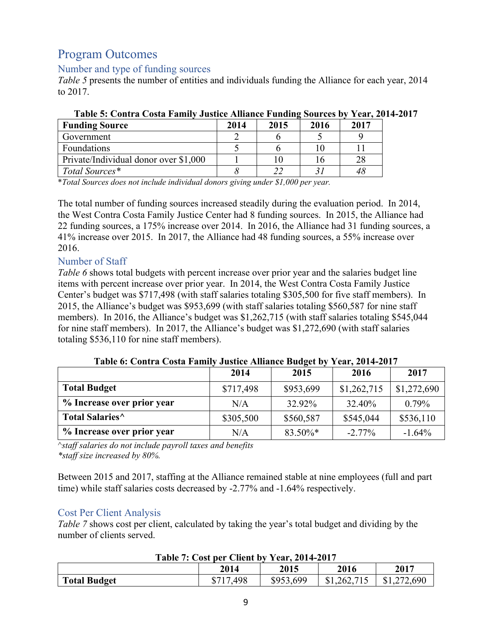# Program Outcomes

### Number and type of funding sources

*Table 5* presents the number of entities and individuals funding the Alliance for each year, 2014 to 2017.

| <b>Funding Source</b>                 | 2014 | 2015 | 2016 | 2017 |
|---------------------------------------|------|------|------|------|
| Government                            |      |      |      |      |
| Foundations                           |      |      |      |      |
| Private/Individual donor over \$1,000 |      |      |      |      |
| Total Sources*                        |      |      |      | 48   |

### **Table 5: Contra Costa Family Justice Alliance Funding Sources by Year, 2014-2017**

\**Total Sources does not include individual donors giving under \$1,000 per year.*

The total number of funding sources increased steadily during the evaluation period. In 2014, the West Contra Costa Family Justice Center had 8 funding sources. In 2015, the Alliance had 22 funding sources, a 175% increase over 2014. In 2016, the Alliance had 31 funding sources, a 41% increase over 2015. In 2017, the Alliance had 48 funding sources, a 55% increase over 2016.

### Number of Staff

*Table 6* shows total budgets with percent increase over prior year and the salaries budget line items with percent increase over prior year.In 2014, the West Contra Costa Family Justice Center's budget was \$717,498 (with staff salaries totaling \$305,500 for five staff members). In 2015, the Alliance's budget was \$953,699 (with staff salaries totaling \$560,587 for nine staff members). In 2016, the Alliance's budget was \$1,262,715 (with staff salaries totaling \$545,044 for nine staff members). In 2017, the Alliance's budget was \$1,272,690 (with staff salaries totaling \$536,110 for nine staff members).

| TRAIL AL CANAL CANA L'ANNII<br>$\sigma$ <i>ustre remainee Duurve</i> $\sigma$ |           |           |             |             |  |
|-------------------------------------------------------------------------------|-----------|-----------|-------------|-------------|--|
|                                                                               | 2014      | 2015      | 2016        | 2017        |  |
| <b>Total Budget</b>                                                           | \$717,498 | \$953,699 | \$1,262,715 | \$1,272,690 |  |
| % Increase over prior year                                                    | N/A       | 32.92%    | 32.40%      | $0.79\%$    |  |
| Total Salaries <sup>^</sup>                                                   | \$305,500 | \$560,587 | \$545,044   | \$536,110   |  |
| % Increase over prior year                                                    | N/A       | 83.50%*   | $-2.77\%$   | $-1.64%$    |  |

**Table 6: Contra Costa Family Justice Alliance Budget by Year, 2014-2017**

^*staff salaries do not include payroll taxes and benefits \*staff size increased by 80%.*

Between 2015 and 2017, staffing at the Alliance remained stable at nine employees (full and part time) while staff salaries costs decreased by -2.77% and -1.64% respectively.

### Cost Per Client Analysis

*Table 7* shows cost per client, calculated by taking the year's total budget and dividing by the number of clients served.

### **Table 7: Cost per Client by Year, 2014-2017**

|                     | 2014          | 2015      | 2016        | 2017             |
|---------------------|---------------|-----------|-------------|------------------|
| <b>Total Budget</b> | .498<br>\$717 | \$953,699 | \$1,262,715 | ,272,690<br>31.2 |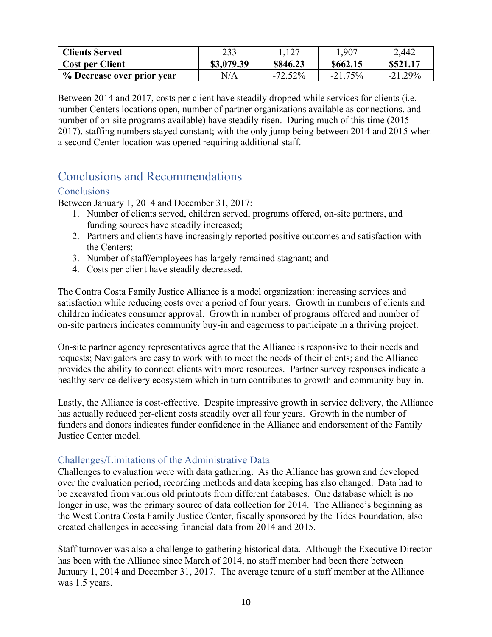| <b>Clients Served</b>      | 233        | 1.127     | .,907     | 2,442     |
|----------------------------|------------|-----------|-----------|-----------|
| Cost per Client            | \$3,079.39 | \$846.23  | \$662.15  | \$521.17  |
| % Decrease over prior year | N/A        | $-72.52%$ | $-21.75%$ | $-21.29%$ |

Between 2014 and 2017, costs per client have steadily dropped while services for clients (i.e. number Centers locations open, number of partner organizations available as connections, and number of on-site programs available) have steadily risen. During much of this time (2015- 2017), staffing numbers stayed constant; with the only jump being between 2014 and 2015 when a second Center location was opened requiring additional staff.

### Conclusions and Recommendations

### **Conclusions**

Between January 1, 2014 and December 31, 2017:

- 1. Number of clients served, children served, programs offered, on-site partners, and funding sources have steadily increased;
- 2. Partners and clients have increasingly reported positive outcomes and satisfaction with the Centers;
- 3. Number of staff/employees has largely remained stagnant; and
- 4. Costs per client have steadily decreased.

The Contra Costa Family Justice Alliance is a model organization: increasing services and satisfaction while reducing costs over a period of four years. Growth in numbers of clients and children indicates consumer approval. Growth in number of programs offered and number of on-site partners indicates community buy-in and eagerness to participate in a thriving project.

On-site partner agency representatives agree that the Alliance is responsive to their needs and requests; Navigators are easy to work with to meet the needs of their clients; and the Alliance provides the ability to connect clients with more resources. Partner survey responses indicate a healthy service delivery ecosystem which in turn contributes to growth and community buy-in.

Lastly, the Alliance is cost-effective. Despite impressive growth in service delivery, the Alliance has actually reduced per-client costs steadily over all four years. Growth in the number of funders and donors indicates funder confidence in the Alliance and endorsement of the Family Justice Center model.

#### Challenges/Limitations of the Administrative Data

Challenges to evaluation were with data gathering. As the Alliance has grown and developed over the evaluation period, recording methods and data keeping has also changed. Data had to be excavated from various old printouts from different databases. One database which is no longer in use, was the primary source of data collection for 2014. The Alliance's beginning as the West Contra Costa Family Justice Center, fiscally sponsored by the Tides Foundation, also created challenges in accessing financial data from 2014 and 2015.

Staff turnover was also a challenge to gathering historical data. Although the Executive Director has been with the Alliance since March of 2014, no staff member had been there between January 1, 2014 and December 31, 2017. The average tenure of a staff member at the Alliance was 1.5 years.